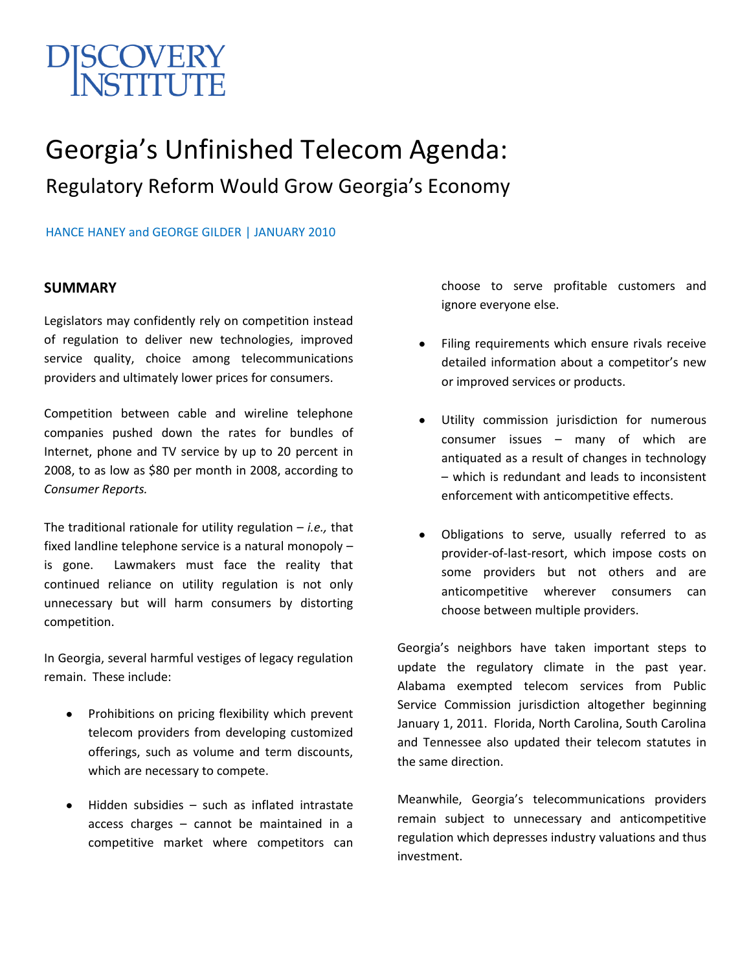# SCOVERY<br>NSTITI ITE

# Georgia's Unfinished Telecom Agenda: Regulatory Reform Would Grow Georgia's Economy

### HANCE HANEY and GEORGE GILDER | JANUARY 2010

#### **SUMMARY**

Legislators may confidently rely on competition instead of regulation to deliver new technologies, improved service quality, choice among telecommunications providers and ultimately lower prices for consumers.

Competition between cable and wireline telephone companies pushed down the rates for bundles of Internet, phone and TV service by up to 20 percent in 2008, to as low as \$80 per month in 2008, according to *Consumer Reports.*

The traditional rationale for utility regulation – *i.e.,* that fixed landline telephone service is a natural monopoly – is gone. Lawmakers must face the reality that continued reliance on utility regulation is not only unnecessary but will harm consumers by distorting competition.

In Georgia, several harmful vestiges of legacy regulation remain. These include:

- Prohibitions on pricing flexibility which prevent telecom providers from developing customized offerings, such as volume and term discounts, which are necessary to compete.
- Hidden subsidies such as inflated intrastate access charges – cannot be maintained in a competitive market where competitors can

choose to serve profitable customers and ignore everyone else.

- Filing requirements which ensure rivals receive detailed information about a competitor's new or improved services or products.
- Utility commission jurisdiction for numerous consumer issues – many of which are antiquated as a result of changes in technology – which is redundant and leads to inconsistent enforcement with anticompetitive effects.
- Obligations to serve, usually referred to as provider-of-last-resort, which impose costs on some providers but not others and are anticompetitive wherever consumers can choose between multiple providers.

Georgia's neighbors have taken important steps to update the regulatory climate in the past year. Alabama exempted telecom services from Public Service Commission jurisdiction altogether beginning January 1, 2011. Florida, North Carolina, South Carolina and Tennessee also updated their telecom statutes in the same direction.

Meanwhile, Georgia's telecommunications providers remain subject to unnecessary and anticompetitive regulation which depresses industry valuations and thus investment.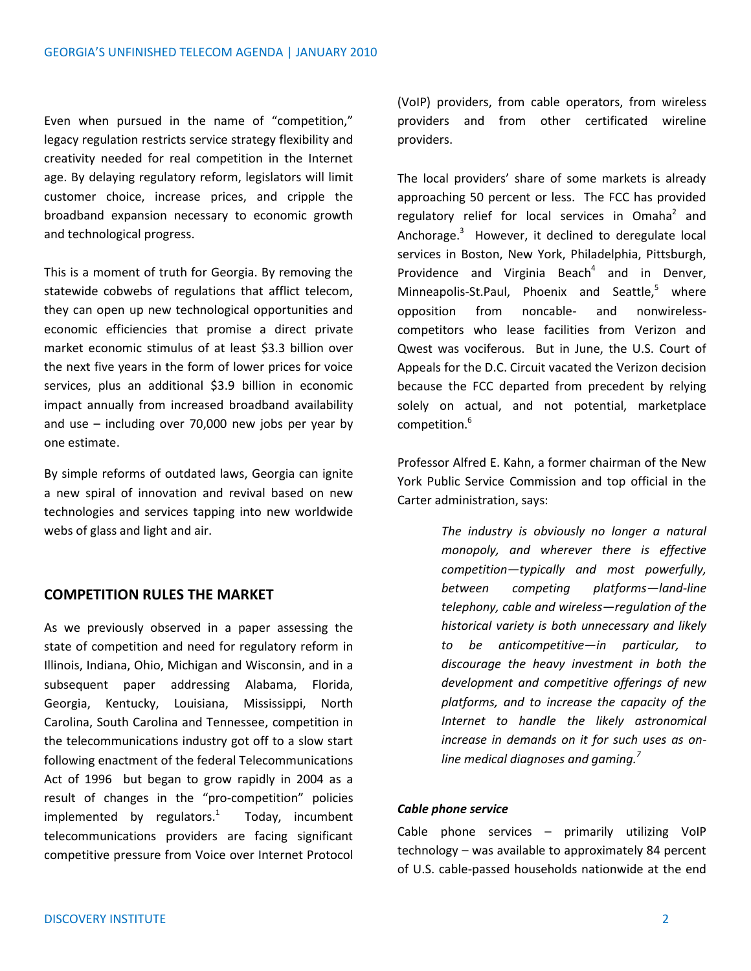Even when pursued in the name of "competition," legacy regulation restricts service strategy flexibility and creativity needed for real competition in the Internet age. By delaying regulatory reform, legislators will limit customer choice, increase prices, and cripple the broadband expansion necessary to economic growth and technological progress.

This is a moment of truth for Georgia. By removing the statewide cobwebs of regulations that afflict telecom, they can open up new technological opportunities and economic efficiencies that promise a direct private market economic stimulus of at least \$3.3 billion over the next five years in the form of lower prices for voice services, plus an additional \$3.9 billion in economic impact annually from increased broadband availability and use – including over 70,000 new jobs per year by one estimate.

By simple reforms of outdated laws, Georgia can ignite a new spiral of innovation and revival based on new technologies and services tapping into new worldwide webs of glass and light and air.

# **COMPETITION RULES THE MARKET**

As we previously observed in a paper assessing the state of competition and need for regulatory reform in Illinois, Indiana, Ohio, Michigan and Wisconsin, and in a subsequent paper addressing Alabama, Florida, Georgia, Kentucky, Louisiana, Mississippi, North Carolina, South Carolina and Tennessee, competition in the telecommunications industry got off to a slow start following enactment of the federal Telecommunications Act of 1996 but began to grow rapidly in 2004 as a result of changes in the "pro-competition" policies implemented by regulators. $1$  Today, incumbent telecommunications providers are facing significant competitive pressure from Voice over Internet Protocol (VoIP) providers, from cable operators, from wireless providers and from other certificated wireline providers.

The local providers' share of some markets is already approaching 50 percent or less. The FCC has provided regulatory relief for local services in Omaha<sup>2</sup> and Anchorage.<sup>3</sup> However, it declined to deregulate local services in Boston, New York, Philadelphia, Pittsburgh, Providence and Virginia Beach<sup>4</sup> and in Denver, Minneapolis-St.Paul, Phoenix and Seattle. $5$  where opposition from noncable- and nonwirelesscompetitors who lease facilities from Verizon and Qwest was vociferous. But in June, the U.S. Court of Appeals for the D.C. Circuit vacated the Verizon decision because the FCC departed from precedent by relying solely on actual, and not potential, marketplace competition.<sup>6</sup>

Professor Alfred E. Kahn, a former chairman of the New York Public Service Commission and top official in the Carter administration, says:

> *The industry is obviously no longer a natural monopoly, and wherever there is effective competition—typically and most powerfully, between competing platforms—land-line telephony, cable and wireless—regulation of the historical variety is both unnecessary and likely to be anticompetitive—in particular, to discourage the heavy investment in both the development and competitive offerings of new platforms, and to increase the capacity of the Internet to handle the likely astronomical increase in demands on it for such uses as online medical diagnoses and gaming.<sup>7</sup>*

#### *Cable phone service*

Cable phone services – primarily utilizing VoIP technology – was available to approximately 84 percent of U.S. cable-passed households nationwide at the end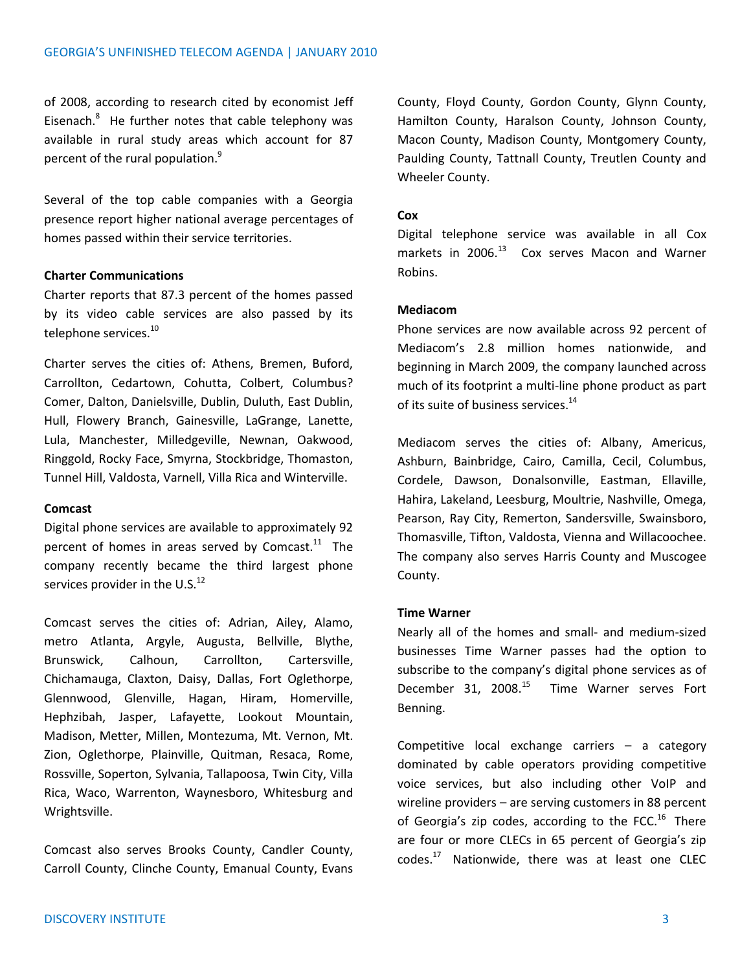of 2008, according to research cited by economist Jeff Eisenach.<sup>8</sup> He further notes that cable telephony was available in rural study areas which account for 87 percent of the rural population.<sup>9</sup>

Several of the top cable companies with a Georgia presence report higher national average percentages of homes passed within their service territories.

# **Charter Communications**

Charter reports that 87.3 percent of the homes passed by its video cable services are also passed by its telephone services.<sup>10</sup>

Charter serves the cities of: Athens, Bremen, Buford, Carrollton, Cedartown, Cohutta, Colbert, Columbus? Comer, Dalton, Danielsville, Dublin, Duluth, East Dublin, Hull, Flowery Branch, Gainesville, LaGrange, Lanette, Lula, Manchester, Milledgeville, Newnan, Oakwood, Ringgold, Rocky Face, Smyrna, Stockbridge, Thomaston, Tunnel Hill, Valdosta, Varnell, Villa Rica and Winterville.

#### **Comcast**

Digital phone services are available to approximately 92 percent of homes in areas served by Comcast. $^{11}$  The company recently became the third largest phone services provider in the U.S. $^{12}$ 

Comcast serves the cities of: Adrian, Ailey, Alamo, metro Atlanta, Argyle, Augusta, Bellville, Blythe, Brunswick, Calhoun, Carrollton, Cartersville, Chichamauga, Claxton, Daisy, Dallas, Fort Oglethorpe, Glennwood, Glenville, Hagan, Hiram, Homerville, Hephzibah, Jasper, Lafayette, Lookout Mountain, Madison, Metter, Millen, Montezuma, Mt. Vernon, Mt. Zion, Oglethorpe, Plainville, Quitman, Resaca, Rome, Rossville, Soperton, Sylvania, Tallapoosa, Twin City, Villa Rica, Waco, Warrenton, Waynesboro, Whitesburg and Wrightsville.

Comcast also serves Brooks County, Candler County, Carroll County, Clinche County, Emanual County, Evans County, Floyd County, Gordon County, Glynn County, Hamilton County, Haralson County, Johnson County, Macon County, Madison County, Montgomery County, Paulding County, Tattnall County, Treutlen County and Wheeler County.

#### **Cox**

Digital telephone service was available in all Cox markets in  $2006.<sup>13</sup>$  Cox serves Macon and Warner Robins.

#### **Mediacom**

Phone services are now available across 92 percent of Mediacom's 2.8 million homes nationwide, and beginning in March 2009, the company launched across much of its footprint a multi-line phone product as part of its suite of business services.<sup>14</sup>

Mediacom serves the cities of: Albany, Americus, Ashburn, Bainbridge, Cairo, Camilla, Cecil, Columbus, Cordele, Dawson, Donalsonville, Eastman, Ellaville, Hahira, Lakeland, Leesburg, Moultrie, Nashville, Omega, Pearson, Ray City, Remerton, Sandersville, Swainsboro, Thomasville, Tifton, Valdosta, Vienna and Willacoochee. The company also serves Harris County and Muscogee County.

#### **Time Warner**

Nearly all of the homes and small- and medium-sized businesses Time Warner passes had the option to subscribe to the company's digital phone services as of December 31, 2008.<sup>15</sup> Time Warner serves Fort Benning.

Competitive local exchange carriers – a category dominated by cable operators providing competitive voice services, but also including other VoIP and wireline providers – are serving customers in 88 percent of Georgia's zip codes, according to the FCC.<sup>16</sup> There are four or more CLECs in 65 percent of Georgia's zip codes.<sup>17</sup> Nationwide, there was at least one CLEC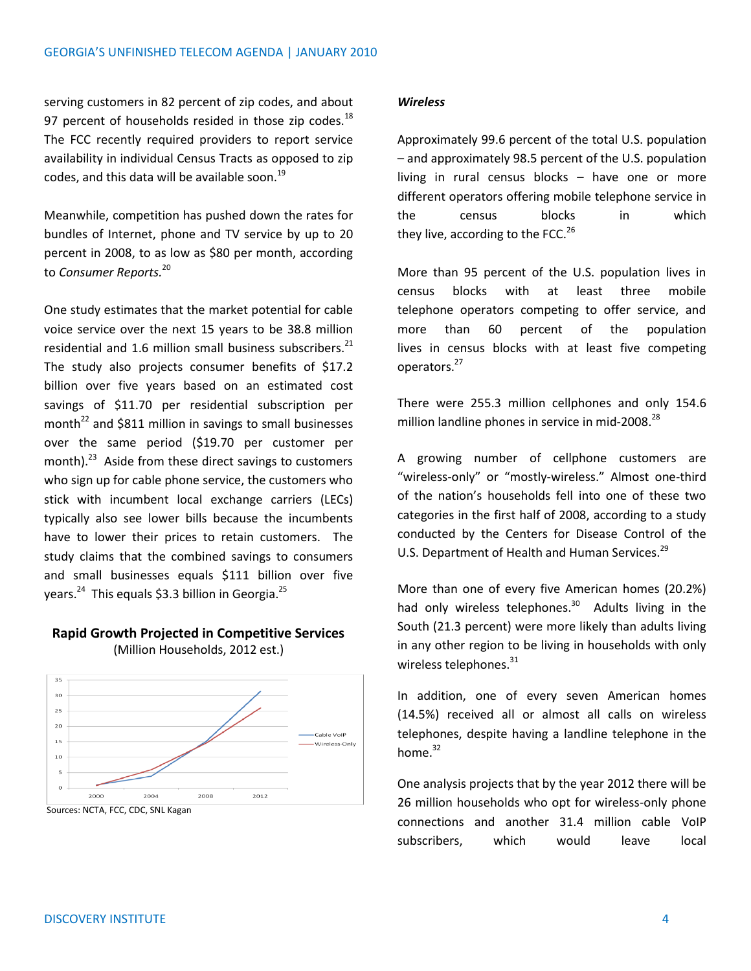serving customers in 82 percent of zip codes, and about 97 percent of households resided in those zip codes. $^{18}$ The FCC recently required providers to report service availability in individual Census Tracts as opposed to zip codes, and this data will be available soon. $^{19}$ 

Meanwhile, competition has pushed down the rates for bundles of Internet, phone and TV service by up to 20 percent in 2008, to as low as \$80 per month, according to *Consumer Reports.*<sup>20</sup>

One study estimates that the market potential for cable voice service over the next 15 years to be 38.8 million residential and 1.6 million small business subscribers.<sup>21</sup> The study also projects consumer benefits of \$17.2 billion over five years based on an estimated cost savings of \$11.70 per residential subscription per month<sup>22</sup> and \$811 million in savings to small businesses over the same period (\$19.70 per customer per month).<sup>23</sup> Aside from these direct savings to customers who sign up for cable phone service, the customers who stick with incumbent local exchange carriers (LECs) typically also see lower bills because the incumbents have to lower their prices to retain customers. The study claims that the combined savings to consumers and small businesses equals \$111 billion over five years.<sup>24</sup> This equals \$3.3 billion in Georgia.<sup>25</sup>

#### **Rapid Growth Projected in Competitive Services** (Million Households, 2012 est.)



Sources: NCTA, FCC, CDC, SNL Kagan

#### *Wireless*

Approximately 99.6 percent of the total U.S. population – and approximately 98.5 percent of the U.S. population living in rural census blocks – have one or more different operators offering mobile telephone service in the census blocks in which they live, according to the FCC. $^{26}$ 

More than 95 percent of the U.S. population lives in census blocks with at least three mobile telephone operators competing to offer service, and more than 60 percent of the population lives in census blocks with at least five competing operators.<sup>27</sup>

There were 255.3 million cellphones and only 154.6 million landline phones in service in mid-2008.<sup>28</sup>

A growing number of cellphone customers are "wireless-only" or "mostly-wireless." Almost one-third of the nation's households fell into one of these two categories in the first half of 2008, according to a study conducted by the Centers for Disease Control of the U.S. Department of Health and Human Services.<sup>29</sup>

More than one of every five American homes (20.2%) had only wireless telephones.<sup>30</sup> Adults living in the South (21.3 percent) were more likely than adults living in any other region to be living in households with only wireless telephones.<sup>31</sup>

In addition, one of every seven American homes (14.5%) received all or almost all calls on wireless telephones, despite having a landline telephone in the home $^{32}$ 

One analysis projects that by the year 2012 there will be 26 million households who opt for wireless-only phone connections and another 31.4 million cable VoIP subscribers, which would leave local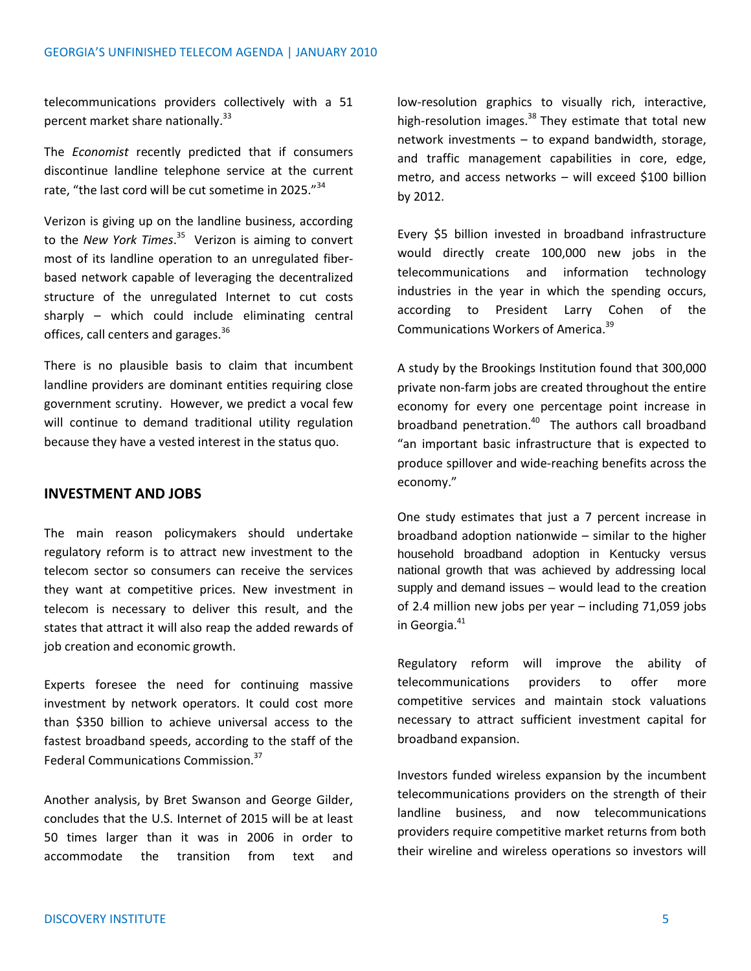telecommunications providers collectively with a 51 percent market share nationally.<sup>33</sup>

The *Economist* recently predicted that if consumers discontinue landline telephone service at the current rate, "the last cord will be cut sometime in 2025."<sup>34</sup>

Verizon is giving up on the landline business, according to the *New York Times*. 35 Verizon is aiming to convert most of its landline operation to an unregulated fiberbased network capable of leveraging the decentralized structure of the unregulated Internet to cut costs sharply – which could include eliminating central offices, call centers and garages.<sup>36</sup>

There is no plausible basis to claim that incumbent landline providers are dominant entities requiring close government scrutiny. However, we predict a vocal few will continue to demand traditional utility regulation because they have a vested interest in the status quo.

# **INVESTMENT AND JOBS**

The main reason policymakers should undertake regulatory reform is to attract new investment to the telecom sector so consumers can receive the services they want at competitive prices. New investment in telecom is necessary to deliver this result, and the states that attract it will also reap the added rewards of job creation and economic growth.

Experts foresee the need for continuing massive investment by network operators. It could cost more than \$350 billion to achieve universal access to the fastest broadband speeds, according to the staff of the Federal Communications Commission.<sup>37</sup>

Another analysis, by Bret Swanson and George Gilder, concludes that the U.S. Internet of 2015 will be at least 50 times larger than it was in 2006 in order to accommodate the transition from text and low-resolution graphics to visually rich, interactive, high-resolution images. $38$  They estimate that total new network investments – to expand bandwidth, storage, and traffic management capabilities in core, edge, metro, and access networks – will exceed \$100 billion by 2012.

Every \$5 billion invested in broadband infrastructure would directly create 100,000 new jobs in the telecommunications and information technology industries in the year in which the spending occurs, according to President Larry Cohen of the Communications Workers of America.<sup>39</sup>

A study by the Brookings Institution found that 300,000 private non‐farm jobs are created throughout the entire economy for every one percentage point increase in broadband penetration.<sup>40</sup> The authors call broadband "an important basic infrastructure that is expected to produce spillover and wide-reaching benefits across the economy."

One study estimates that just a 7 percent increase in broadband adoption nationwide – similar to the higher household broadband adoption in Kentucky versus national growth that was achieved by addressing local supply and demand issues – would lead to the creation of 2.4 million new jobs per year – including 71,059 jobs in Georgia.<sup>41</sup>

Regulatory reform will improve the ability of telecommunications providers to offer more competitive services and maintain stock valuations necessary to attract sufficient investment capital for broadband expansion.

Investors funded wireless expansion by the incumbent telecommunications providers on the strength of their landline business, and now telecommunications providers require competitive market returns from both their wireline and wireless operations so investors will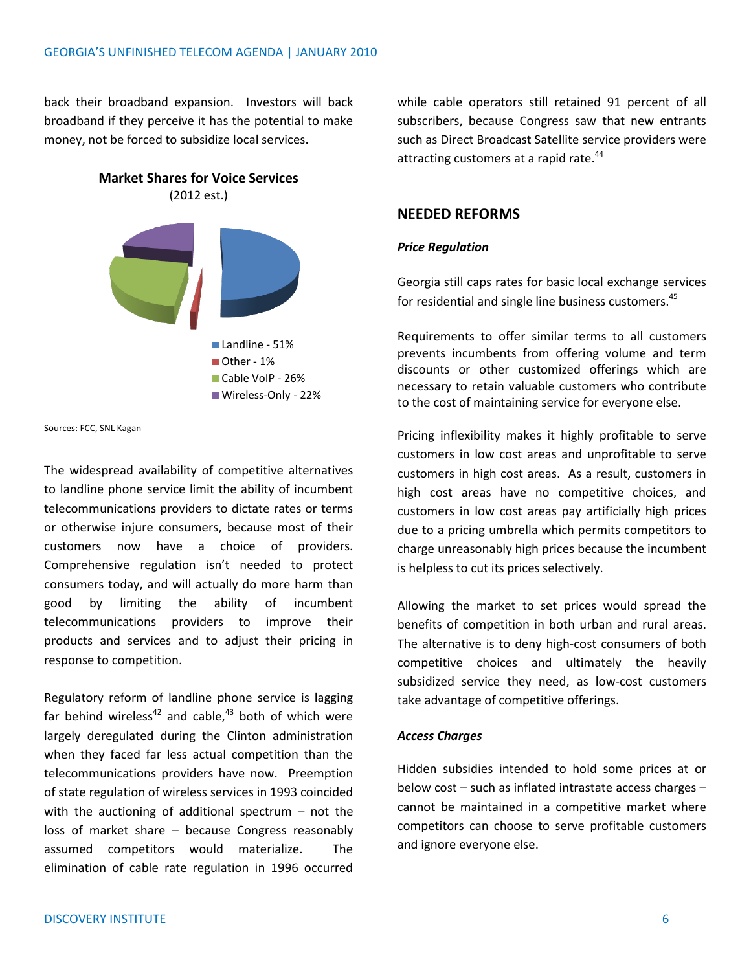back their broadband expansion. Investors will back broadband if they perceive it has the potential to make money, not be forced to subsidize local services.





Sources: FCC, SNL Kagan

The widespread availability of competitive alternatives to landline phone service limit the ability of incumbent telecommunications providers to dictate rates or terms or otherwise injure consumers, because most of their customers now have a choice of providers. Comprehensive regulation isn't needed to protect consumers today, and will actually do more harm than good by limiting the ability of incumbent telecommunications providers to improve their products and services and to adjust their pricing in response to competition.

Regulatory reform of landline phone service is lagging far behind wireless<sup>42</sup> and cable.<sup>43</sup> both of which were largely deregulated during the Clinton administration when they faced far less actual competition than the telecommunications providers have now. Preemption of state regulation of wireless services in 1993 coincided with the auctioning of additional spectrum  $-$  not the loss of market share – because Congress reasonably assumed competitors would materialize. The elimination of cable rate regulation in 1996 occurred while cable operators still retained 91 percent of all subscribers, because Congress saw that new entrants such as Direct Broadcast Satellite service providers were attracting customers at a rapid rate.<sup>44</sup>

#### **NEEDED REFORMS**

#### *Price Regulation*

Georgia still caps rates for basic local exchange services for residential and single line business customers.<sup>45</sup>

Requirements to offer similar terms to all customers prevents incumbents from offering volume and term discounts or other customized offerings which are necessary to retain valuable customers who contribute to the cost of maintaining service for everyone else.

Pricing inflexibility makes it highly profitable to serve customers in low cost areas and unprofitable to serve customers in high cost areas. As a result, customers in high cost areas have no competitive choices, and customers in low cost areas pay artificially high prices due to a pricing umbrella which permits competitors to charge unreasonably high prices because the incumbent is helpless to cut its prices selectively.

Allowing the market to set prices would spread the benefits of competition in both urban and rural areas. The alternative is to deny high-cost consumers of both competitive choices and ultimately the heavily subsidized service they need, as low-cost customers take advantage of competitive offerings.

#### *Access Charges*

Hidden subsidies intended to hold some prices at or below cost – such as inflated intrastate access charges – cannot be maintained in a competitive market where competitors can choose to serve profitable customers and ignore everyone else.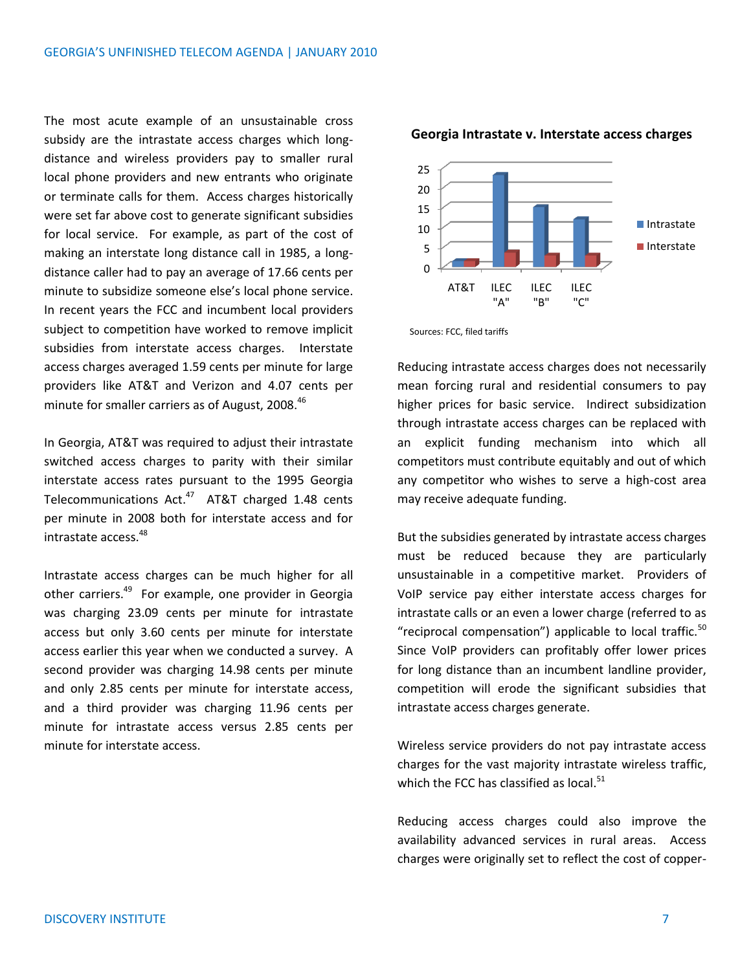The most acute example of an unsustainable cross subsidy are the intrastate access charges which longdistance and wireless providers pay to smaller rural local phone providers and new entrants who originate or terminate calls for them. Access charges historically were set far above cost to generate significant subsidies for local service. For example, as part of the cost of making an interstate long distance call in 1985, a longdistance caller had to pay an average of 17.66 cents per minute to subsidize someone else's local phone service. In recent years the FCC and incumbent local providers subject to competition have worked to remove implicit subsidies from interstate access charges. Interstate access charges averaged 1.59 cents per minute for large providers like AT&T and Verizon and 4.07 cents per minute for smaller carriers as of August, 2008.<sup>46</sup>

In Georgia, AT&T was required to adjust their intrastate switched access charges to parity with their similar interstate access rates pursuant to the 1995 Georgia Telecommunications Act.<sup>47</sup> AT&T charged 1.48 cents per minute in 2008 both for interstate access and for intrastate access.<sup>48</sup>

Intrastate access charges can be much higher for all other carriers.<sup>49</sup> For example, one provider in Georgia was charging 23.09 cents per minute for intrastate access but only 3.60 cents per minute for interstate access earlier this year when we conducted a survey. A second provider was charging 14.98 cents per minute and only 2.85 cents per minute for interstate access, and a third provider was charging 11.96 cents per minute for intrastate access versus 2.85 cents per minute for interstate access.



#### **Georgia Intrastate v. Interstate access charges**

Sources: FCC, filed tariffs

Reducing intrastate access charges does not necessarily mean forcing rural and residential consumers to pay higher prices for basic service. Indirect subsidization through intrastate access charges can be replaced with an explicit funding mechanism into which all competitors must contribute equitably and out of which any competitor who wishes to serve a high-cost area may receive adequate funding.

But the subsidies generated by intrastate access charges must be reduced because they are particularly unsustainable in a competitive market. Providers of VoIP service pay either interstate access charges for intrastate calls or an even a lower charge (referred to as "reciprocal compensation") applicable to local traffic. $50$ Since VoIP providers can profitably offer lower prices for long distance than an incumbent landline provider, competition will erode the significant subsidies that intrastate access charges generate.

Wireless service providers do not pay intrastate access charges for the vast majority intrastate wireless traffic, which the FCC has classified as local.<sup>51</sup>

Reducing access charges could also improve the availability advanced services in rural areas. Access charges were originally set to reflect the cost of copper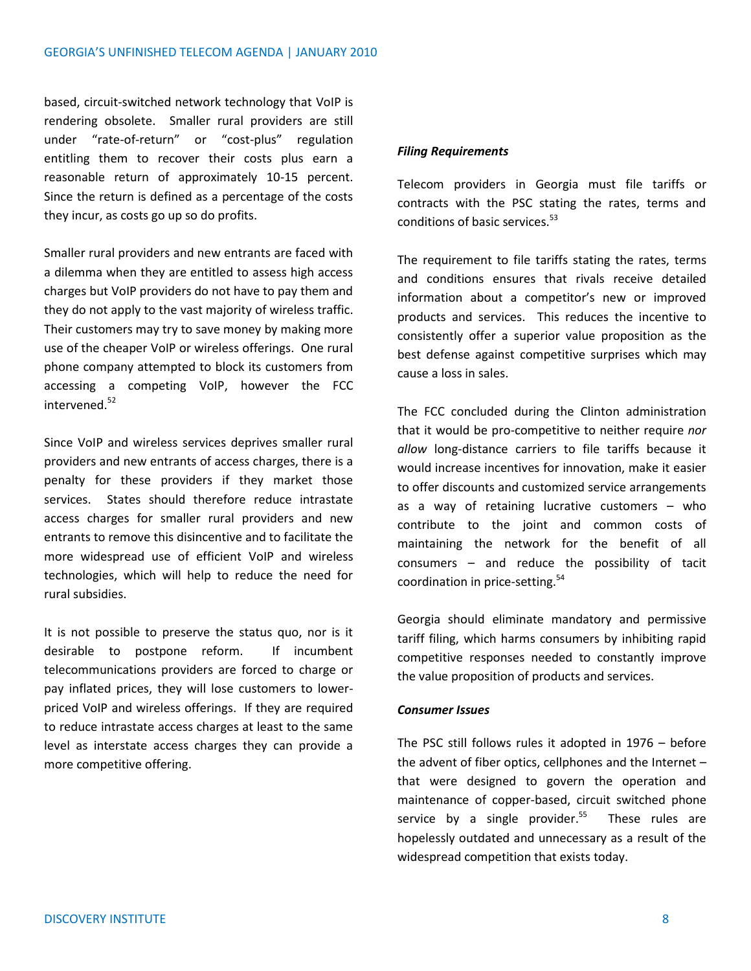based, circuit-switched network technology that VoIP is rendering obsolete. Smaller rural providers are still under "rate-of-return" or "cost-plus" regulation entitling them to recover their costs plus earn a reasonable return of approximately 10-15 percent. Since the return is defined as a percentage of the costs they incur, as costs go up so do profits.

Smaller rural providers and new entrants are faced with a dilemma when they are entitled to assess high access charges but VoIP providers do not have to pay them and they do not apply to the vast majority of wireless traffic. Their customers may try to save money by making more use of the cheaper VoIP or wireless offerings. One rural phone company attempted to block its customers from accessing a competing VoIP, however the FCC intervened. 52

Since VoIP and wireless services deprives smaller rural providers and new entrants of access charges, there is a penalty for these providers if they market those services. States should therefore reduce intrastate access charges for smaller rural providers and new entrants to remove this disincentive and to facilitate the more widespread use of efficient VoIP and wireless technologies, which will help to reduce the need for rural subsidies.

It is not possible to preserve the status quo, nor is it desirable to postpone reform. If incumbent telecommunications providers are forced to charge or pay inflated prices, they will lose customers to lowerpriced VoIP and wireless offerings. If they are required to reduce intrastate access charges at least to the same level as interstate access charges they can provide a more competitive offering.

# *Filing Requirements*

Telecom providers in Georgia must file tariffs or contracts with the PSC stating the rates, terms and conditions of basic services.<sup>53</sup>

The requirement to file tariffs stating the rates, terms and conditions ensures that rivals receive detailed information about a competitor's new or improved products and services. This reduces the incentive to consistently offer a superior value proposition as the best defense against competitive surprises which may cause a loss in sales.

The FCC concluded during the Clinton administration that it would be pro-competitive to neither require *nor allow* long-distance carriers to file tariffs because it would increase incentives for innovation, make it easier to offer discounts and customized service arrangements as a way of retaining lucrative customers – who contribute to the joint and common costs of maintaining the network for the benefit of all consumers – and reduce the possibility of tacit coordination in price-setting.<sup>54</sup>

Georgia should eliminate mandatory and permissive tariff filing, which harms consumers by inhibiting rapid competitive responses needed to constantly improve the value proposition of products and services.

# *Consumer Issues*

The PSC still follows rules it adopted in 1976 – before the advent of fiber optics, cellphones and the Internet – that were designed to govern the operation and maintenance of copper-based, circuit switched phone service by a single provider.<sup>55</sup> These rules are hopelessly outdated and unnecessary as a result of the widespread competition that exists today.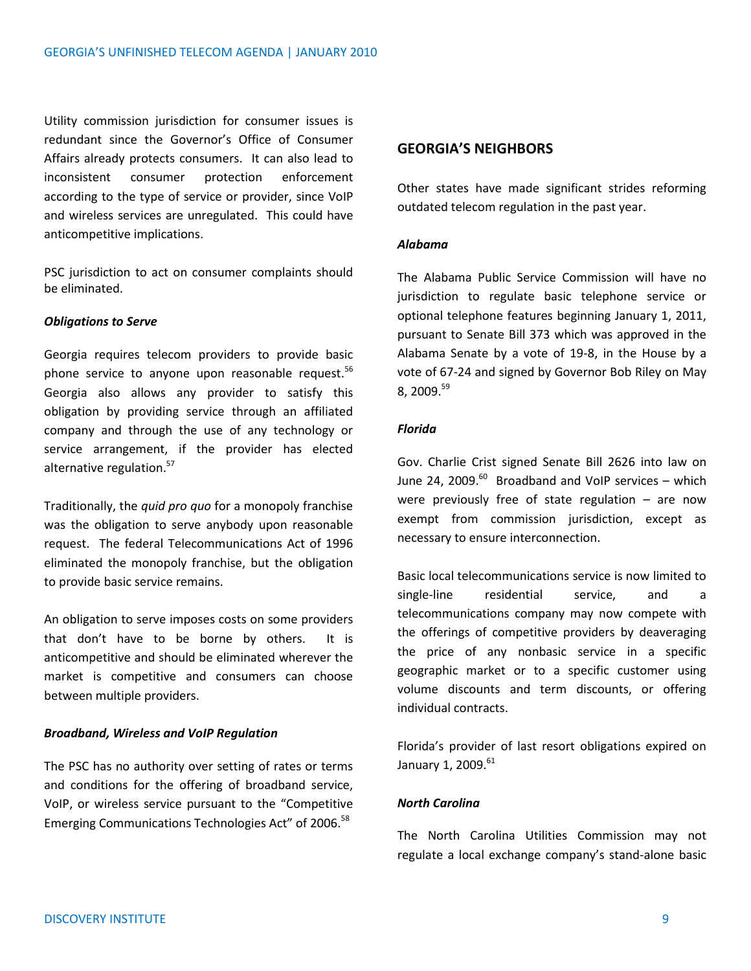Utility commission jurisdiction for consumer issues is redundant since the Governor's Office of Consumer Affairs already protects consumers. It can also lead to inconsistent consumer protection enforcement according to the type of service or provider, since VoIP and wireless services are unregulated. This could have anticompetitive implications.

PSC jurisdiction to act on consumer complaints should be eliminated.

# *Obligations to Serve*

Georgia requires telecom providers to provide basic phone service to anyone upon reasonable request.<sup>56</sup> Georgia also allows any provider to satisfy this obligation by providing service through an affiliated company and through the use of any technology or service arrangement, if the provider has elected alternative regulation.<sup>57</sup>

Traditionally, the *quid pro quo* for a monopoly franchise was the obligation to serve anybody upon reasonable request. The federal Telecommunications Act of 1996 eliminated the monopoly franchise, but the obligation to provide basic service remains.

An obligation to serve imposes costs on some providers that don't have to be borne by others. It is anticompetitive and should be eliminated wherever the market is competitive and consumers can choose between multiple providers.

# *Broadband, Wireless and VoIP Regulation*

The PSC has no authority over setting of rates or terms and conditions for the offering of broadband service, VoIP, or wireless service pursuant to the "Competitive Emerging Communications Technologies Act" of 2006.<sup>58</sup>

# **GEORGIA'S NEIGHBORS**

Other states have made significant strides reforming outdated telecom regulation in the past year.

#### *Alabama*

The Alabama Public Service Commission will have no jurisdiction to regulate basic telephone service or optional telephone features beginning January 1, 2011, pursuant to Senate Bill 373 which was approved in the Alabama Senate by a vote of 19-8, in the House by a vote of 67-24 and signed by Governor Bob Riley on May 8, 2009. $59$ 

#### *Florida*

Gov. Charlie Crist signed Senate Bill 2626 into law on June 24, 2009.<sup>60</sup> Broadband and VoIP services – which were previously free of state regulation  $-$  are now exempt from commission jurisdiction, except as necessary to ensure interconnection.

Basic local telecommunications service is now limited to single-line residential service, and a telecommunications company may now compete with the offerings of competitive providers by deaveraging the price of any nonbasic service in a specific geographic market or to a specific customer using volume discounts and term discounts, or offering individual contracts.

Florida's provider of last resort obligations expired on January 1, 2009.<sup>61</sup>

#### *North Carolina*

The North Carolina Utilities Commission may not regulate a local exchange company's stand-alone basic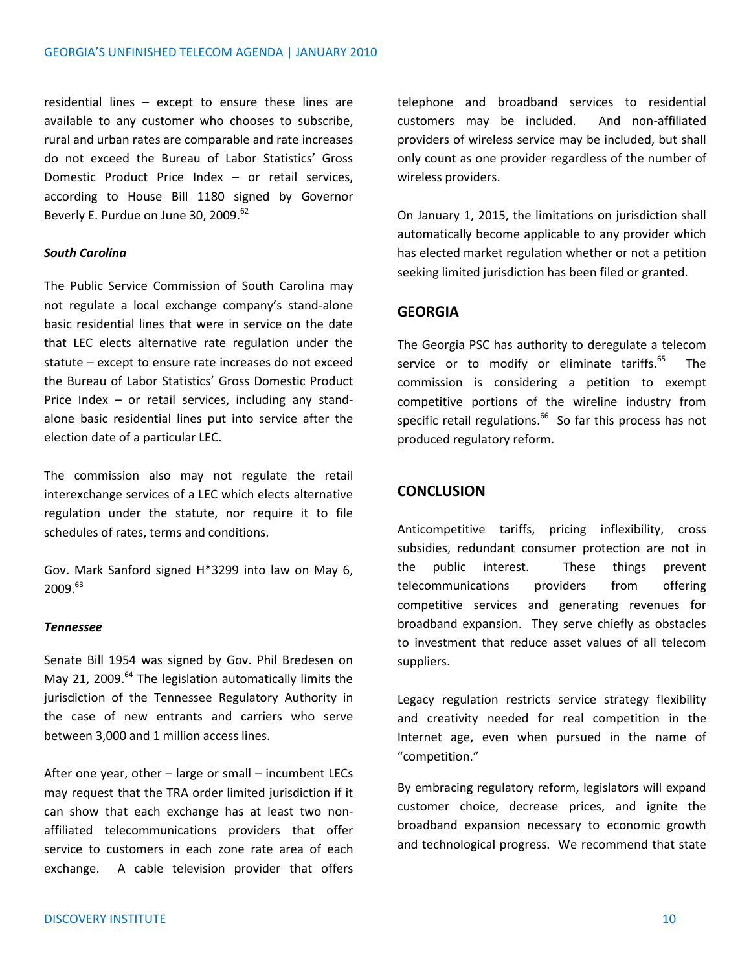residential lines – except to ensure these lines are available to any customer who chooses to subscribe, rural and urban rates are comparable and rate increases do not exceed the Bureau of Labor Statistics' Gross Domestic Product Price Index – or retail services, according to House Bill 1180 signed by Governor Beverly E. Purdue on June 30, 2009.<sup>62</sup>

# *South Carolina*

The Public Service Commission of South Carolina may not regulate a local exchange company's stand-alone basic residential lines that were in service on the date that LEC elects alternative rate regulation under the statute – except to ensure rate increases do not exceed the Bureau of Labor Statistics' Gross Domestic Product Price Index – or retail services, including any standalone basic residential lines put into service after the election date of a particular LEC.

The commission also may not regulate the retail interexchange services of a LEC which elects alternative regulation under the statute, nor require it to file schedules of rates, terms and conditions.

Gov. Mark Sanford signed H\*3299 into law on May 6, 2009.<sup>63</sup>

# *Tennessee*

Senate Bill 1954 was signed by Gov. Phil Bredesen on May 21, 2009. $^{64}$  The legislation automatically limits the jurisdiction of the Tennessee Regulatory Authority in the case of new entrants and carriers who serve between 3,000 and 1 million access lines.

After one year, other – large or small – incumbent LECs may request that the TRA order limited jurisdiction if it can show that each exchange has at least two nonaffiliated telecommunications providers that offer service to customers in each zone rate area of each exchange. A cable television provider that offers telephone and broadband services to residential customers may be included. And non-affiliated providers of wireless service may be included, but shall only count as one provider regardless of the number of wireless providers.

On January 1, 2015, the limitations on jurisdiction shall automatically become applicable to any provider which has elected market regulation whether or not a petition seeking limited jurisdiction has been filed or granted.

# **GEORGIA**

The Georgia PSC has authority to deregulate a telecom service or to modify or eliminate tariffs.<sup>65</sup> The commission is considering a petition to exempt competitive portions of the wireline industry from specific retail regulations.<sup>66</sup> So far this process has not produced regulatory reform.

# **CONCLUSION**

Anticompetitive tariffs, pricing inflexibility, cross subsidies, redundant consumer protection are not in the public interest. These things prevent telecommunications providers from offering competitive services and generating revenues for broadband expansion. They serve chiefly as obstacles to investment that reduce asset values of all telecom suppliers.

Legacy regulation restricts service strategy flexibility and creativity needed for real competition in the Internet age, even when pursued in the name of "competition."

By embracing regulatory reform, legislators will expand customer choice, decrease prices, and ignite the broadband expansion necessary to economic growth and technological progress. We recommend that state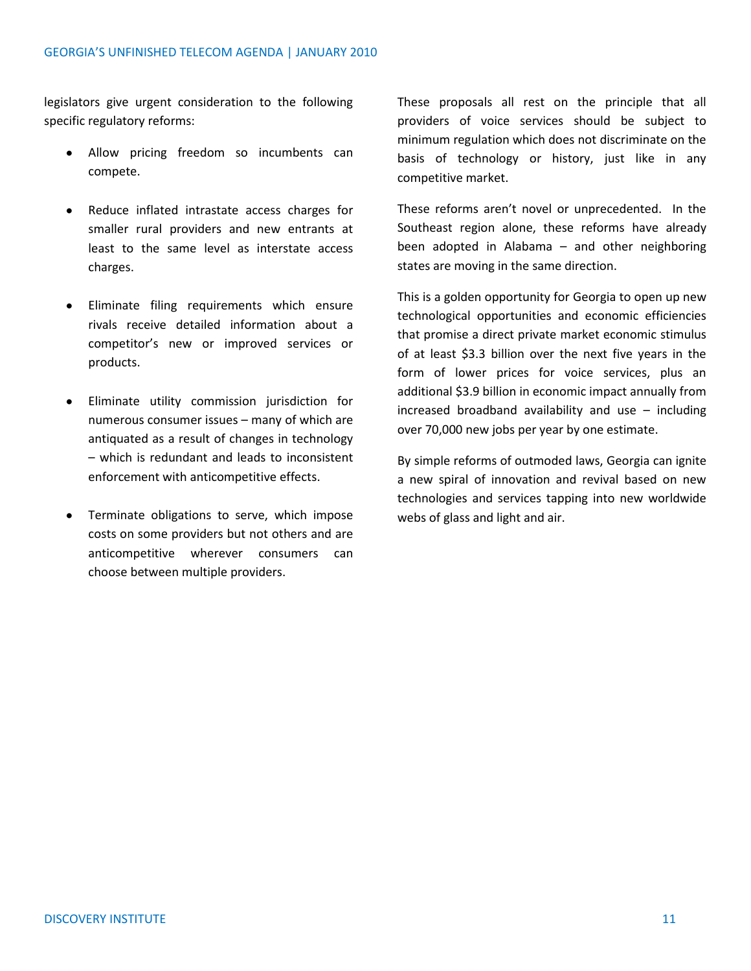legislators give urgent consideration to the following specific regulatory reforms:

- Allow pricing freedom so incumbents can compete.
- Reduce inflated intrastate access charges for smaller rural providers and new entrants at least to the same level as interstate access charges.
- Eliminate filing requirements which ensure rivals receive detailed information about a competitor's new or improved services or products.
- Eliminate utility commission jurisdiction for numerous consumer issues – many of which are antiquated as a result of changes in technology – which is redundant and leads to inconsistent enforcement with anticompetitive effects.
- Terminate obligations to serve, which impose costs on some providers but not others and are anticompetitive wherever consumers can choose between multiple providers.

These proposals all rest on the principle that all providers of voice services should be subject to minimum regulation which does not discriminate on the basis of technology or history, just like in any competitive market.

These reforms aren't novel or unprecedented. In the Southeast region alone, these reforms have already been adopted in Alabama – and other neighboring states are moving in the same direction.

This is a golden opportunity for Georgia to open up new technological opportunities and economic efficiencies that promise a direct private market economic stimulus of at least \$3.3 billion over the next five years in the form of lower prices for voice services, plus an additional \$3.9 billion in economic impact annually from increased broadband availability and use – including over 70,000 new jobs per year by one estimate.

By simple reforms of outmoded laws, Georgia can ignite a new spiral of innovation and revival based on new technologies and services tapping into new worldwide webs of glass and light and air.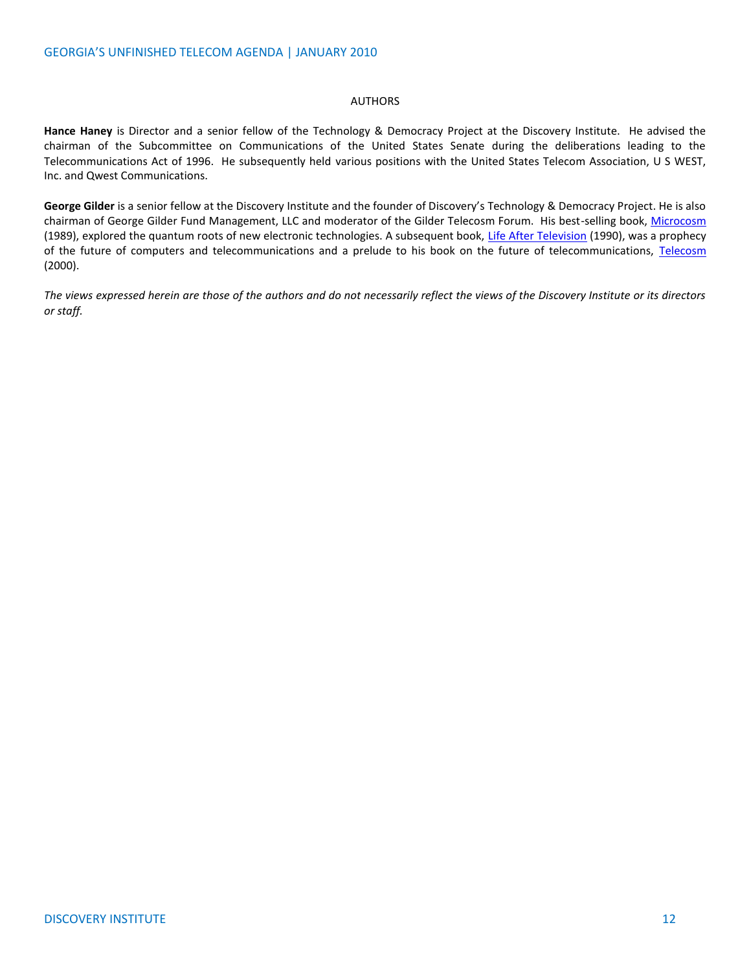#### AUTHORS

**Hance Haney** is Director and a senior fellow of the Technology & Democracy Project at the Discovery Institute. He advised the chairman of the Subcommittee on Communications of the United States Senate during the deliberations leading to the Telecommunications Act of 1996. He subsequently held various positions with the United States Telecom Association, U S WEST, Inc. and Qwest Communications.

**George Gilder** is a senior fellow at the Discovery Institute and the founder of Discovery's Technology & Democracy Project. He is also chairman of George Gilder Fund Management, LLC and moderator of the Gilder Telecosm Forum. His best-selling book, [Microcosm](http://www.amazon.com/exec/obidos/ASIN/067170592X/qid=1123796314/sr=2-1/ref=pd_bbs_b_2_1/002-5801107-8086441) (1989), explored the quantum roots of new electronic technologies. A subsequent book, [Life After Television](http://www.amazon.com/exec/obidos/ASIN/0393311589/qid=1123796381/sr=2-2/ref=pd_bbs_b_2_2/002-5801107-8086441) (1990), was a prophecy of the future of computers and telecommunications and a prelude to his book on the future of telecommunications, [Telecosm](http://www.amazon.com/exec/obidos/ASIN/0743205472/qid=1123796444/sr=2-1/ref=pd_bbs_b_2_1/002-5801107-8086441) (2000).

*The views expressed herein are those of the authors and do not necessarily reflect the views of the Discovery Institute or its directors or staff.*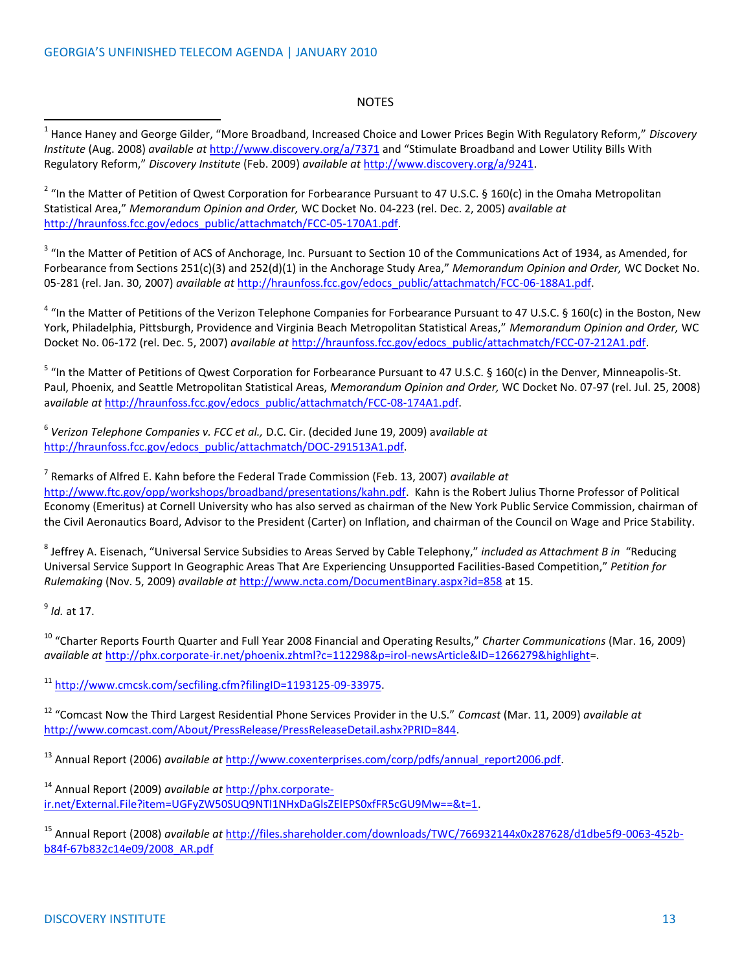#### NOTES

l 1 Hance Haney and George Gilder, "More Broadband, Increased Choice and Lower Prices Begin With Regulatory Reform," *Discovery Institute* (Aug. 2008) *available at* <http://www.discovery.org/a/7371> and "Stimulate Broadband and Lower Utility Bills With Regulatory Reform," *Discovery Institute* (Feb. 2009) *available at* [http://www.discovery.org/a/9241.](http://www.discovery.org/a/9241) 

<sup>2</sup> "In the Matter of Petition of Qwest Corporation for Forbearance Pursuant to 47 U.S.C. § 160(c) in the Omaha Metropolitan Statistical Area," *Memorandum Opinion and Order,* WC Docket No. 04-223 (rel. Dec. 2, 2005) *available at* [http://hraunfoss.fcc.gov/edocs\\_public/attachmatch/FCC-05-170A1.pdf.](http://hraunfoss.fcc.gov/edocs_public/attachmatch/FCC-05-170A1.pdf)

<sup>3</sup> "In the Matter of Petition of ACS of Anchorage, Inc. Pursuant to Section 10 of the Communications Act of 1934, as Amended, for Forbearance from Sections 251(c)(3) and 252(d)(1) in the Anchorage Study Area," *Memorandum Opinion and Order,* WC Docket No. 05-281 (rel. Jan. 30, 2007) *available at* [http://hraunfoss.fcc.gov/edocs\\_public/attachmatch/FCC-06-188A1.pdf.](http://hraunfoss.fcc.gov/edocs_public/attachmatch/FCC-06-188A1.pdf)

 $4$  "In the Matter of Petitions of the Verizon Telephone Companies for Forbearance Pursuant to 47 U.S.C. § 160(c) in the Boston, New York, Philadelphia, Pittsburgh, Providence and Virginia Beach Metropolitan Statistical Areas," *Memorandum Opinion and Order,* WC Docket No. 06-172 (rel. Dec. 5, 2007) *available at* [http://hraunfoss.fcc.gov/edocs\\_public/attachmatch/FCC-07-212A1.pdf.](http://hraunfoss.fcc.gov/edocs_public/attachmatch/FCC-07-212A1.pdf)

<sup>5</sup> "In the Matter of Petitions of Qwest Corporation for Forbearance Pursuant to 47 U.S.C. § 160(c) in the Denver, Minneapolis-St. Paul, Phoenix, and Seattle Metropolitan Statistical Areas, *Memorandum Opinion and Order,* WC Docket No. 07-97 (rel. Jul. 25, 2008) a*vailable at* [http://hraunfoss.fcc.gov/edocs\\_public/attachmatch/FCC-08-174A1.pdf.](http://hraunfoss.fcc.gov/edocs_public/attachmatch/FCC-08-174A1.pdf)

6 *Verizon Telephone Companies v. FCC et al.,* D.C. Cir. (decided June 19, 2009) a*vailable at* [http://hraunfoss.fcc.gov/edocs\\_public/attachmatch/DOC-291513A1.pdf.](http://hraunfoss.fcc.gov/edocs_public/attachmatch/DOC-291513A1.pdf) 

7 Remarks of Alfred E. Kahn before the Federal Trade Commission (Feb. 13, 2007) *available at*  [http://www.ftc.gov/opp/workshops/broadband/presentations/kahn.pdf.](http://www.ftc.gov/opp/workshops/broadband/presentations/kahn.pdf) Kahn is the Robert Julius Thorne Professor of Political Economy (Emeritus) at Cornell University who has also served as chairman of the New York Public Service Commission, chairman of the Civil Aeronautics Board, Advisor to the President (Carter) on Inflation, and chairman of the Council on Wage and Price Stability.

8 Jeffrey A. Eisenach, "Universal Service Subsidies to Areas Served by Cable Telephony," *included as Attachment B in* "Reducing Universal Service Support In Geographic Areas That Are Experiencing Unsupported Facilities-Based Competition," *Petition for Rulemaking* (Nov. 5, 2009) *available at* <http://www.ncta.com/DocumentBinary.aspx?id=858> at 15.

9 *Id.* at 17.

<sup>10</sup> "Charter Reports Fourth Quarter and Full Year 2008 Financial and Operating Results," *Charter Communications* (Mar. 16, 2009) *available at* [http://phx.corporate-ir.net/phoenix.zhtml?c=112298&p=irol-newsArticle&ID=1266279&highlight=](http://phx.corporate-ir.net/phoenix.zhtml?c=112298&p=irol-newsArticle&ID=1266279&highlight).

<sup>11</sup> [http://www.cmcsk.com/secfiling.cfm?filingID=1193125-09-33975.](http://www.cmcsk.com/secfiling.cfm?filingID=1193125-09-33975) 

<sup>12</sup> "Comcast Now the Third Largest Residential Phone Services Provider in the U.S." *Comcast* (Mar. 11, 2009) *available at* [http://www.comcast.com/About/PressRelease/PressReleaseDetail.ashx?PRID=844.](http://www.comcast.com/About/PressRelease/PressReleaseDetail.ashx?PRID=844)

<sup>13</sup> Annual Report (2006) *available at* [http://www.coxenterprises.com/corp/pdfs/annual\\_report2006.pdf.](http://www.coxenterprises.com/corp/pdfs/annual_report2006.pdf) 

<sup>14</sup> Annual Report (2009) *available at* [http://phx.corporate](http://phx.corporate-ir.net/External.File?item=UGFyZW50SUQ9NTI1NHxDaGlsZElEPS0xfFR5cGU9Mw==&t=1)[ir.net/External.File?item=UGFyZW50SUQ9NTI1NHxDaGlsZElEPS0xfFR5cGU9Mw==&t=1.](http://phx.corporate-ir.net/External.File?item=UGFyZW50SUQ9NTI1NHxDaGlsZElEPS0xfFR5cGU9Mw==&t=1)

<sup>15</sup> Annual Report (2008) *available at* [http://files.shareholder.com/downloads/TWC/766932144x0x287628/d1dbe5f9-0063-452b](https://mail.discovery.org/exchweb/bin/redir.asp?URL=http://files.shareholder.com/downloads/TWC/766932144x0x287628/d1dbe5f9-0063-452b-b84f-67b832c14e09/2008_AR.pdf)[b84f-67b832c14e09/2008\\_AR.pdf](https://mail.discovery.org/exchweb/bin/redir.asp?URL=http://files.shareholder.com/downloads/TWC/766932144x0x287628/d1dbe5f9-0063-452b-b84f-67b832c14e09/2008_AR.pdf)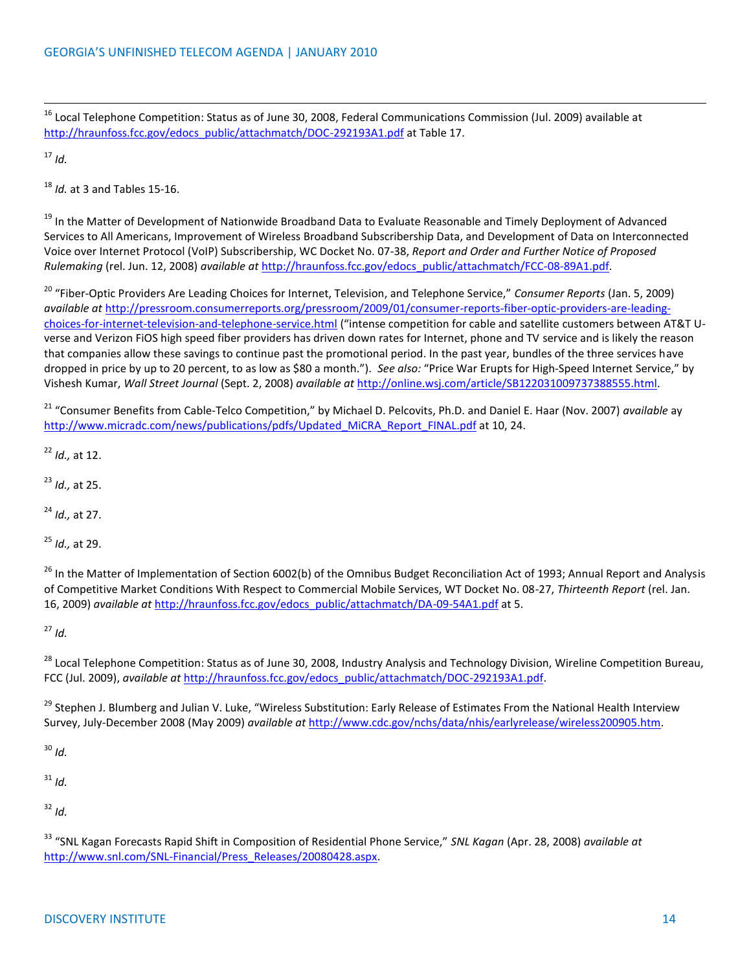<sup>16</sup> Local Telephone Competition: Status as of June 30, 2008, Federal Communications Commission (Jul. 2009) available at [http://hraunfoss.fcc.gov/edocs\\_public/attachmatch/DOC-292193A1.pdf](http://hraunfoss.fcc.gov/edocs_public/attachmatch/DOC-292193A1.pdf) at Table 17.

 $17$  *Id.* 

l

<sup>18</sup> *Id.* at 3 and Tables 15-16.

<sup>19</sup> In the Matter of Development of Nationwide Broadband Data to Evaluate Reasonable and Timely Deployment of Advanced Services to All Americans, Improvement of Wireless Broadband Subscribership Data, and Development of Data on Interconnected Voice over Internet Protocol (VoIP) Subscribership, WC Docket No. 07-38, *Report and Order and Further Notice of Proposed Rulemaking* (rel. Jun. 12, 2008) *available at* [http://hraunfoss.fcc.gov/edocs\\_public/attachmatch/FCC-08-89A1.pdf.](http://hraunfoss.fcc.gov/edocs_public/attachmatch/FCC-08-89A1.pdf)

<sup>20</sup> "Fiber-Optic Providers Are Leading Choices for Internet, Television, and Telephone Service," *Consumer Reports* (Jan. 5, 2009) *available at* [http://pressroom.consumerreports.org/pressroom/2009/01/consumer-reports-fiber-optic-providers-are-leading](http://pressroom.consumerreports.org/pressroom/2009/01/consumer-reports-fiber-optic-providers-are-leading-choices-for-internet-television-and-telephone-service.html)[choices-for-internet-television-and-telephone-service.html](http://pressroom.consumerreports.org/pressroom/2009/01/consumer-reports-fiber-optic-providers-are-leading-choices-for-internet-television-and-telephone-service.html) ("intense competition for cable and satellite customers between AT&T Uverse and Verizon FiOS high speed fiber providers has driven down rates for Internet, phone and TV service and is likely the reason that companies allow these savings to continue past the promotional period. In the past year, bundles of the three services have dropped in price by up to 20 percent, to as low as \$80 a month."). *See also:* "Price War Erupts for High-Speed Internet Service," by Vishesh Kumar, *Wall Street Journal* (Sept. 2, 2008) *available at* [http://online.wsj.com/article/SB122031009737388555.html.](http://online.wsj.com/article/SB122031009737388555.html)

<sup>21</sup> "Consumer Benefits from Cable-Telco Competition," by Michael D. Pelcovits, Ph.D. and Daniel E. Haar (Nov. 2007) *available* ay [http://www.micradc.com/news/publications/pdfs/Updated\\_MiCRA\\_Report\\_FINAL.pdf](http://www.micradc.com/news/publications/pdfs/Updated_MiCRA_Report_FINAL.pdf) at 10, 24.

<sup>22</sup> *Id.,* at 12.

<sup>23</sup> *Id.,* at 25.

<sup>24</sup> *Id.,* at 27.

<sup>25</sup> *Id.,* at 29.

<sup>26</sup> In the Matter of Implementation of Section 6002(b) of the Omnibus Budget Reconciliation Act of 1993; Annual Report and Analysis of Competitive Market Conditions With Respect to Commercial Mobile Services, WT Docket No. 08-27, *Thirteenth Report* (rel. Jan. 16, 2009) *available at* [http://hraunfoss.fcc.gov/edocs\\_public/attachmatch/DA-09-54A1.pdf](https://mail.discovery.org/exchweb/bin/redir.asp?URL=http://hraunfoss.fcc.gov/edocs_public/attachmatch/DA-09-54A1.pdf) at 5.

 $27$  *Id.* 

<sup>28</sup> Local Telephone Competition: Status as of June 30, 2008, Industry Analysis and Technology Division, Wireline Competition Bureau, FCC (Jul. 2009), *available at* [http://hraunfoss.fcc.gov/edocs\\_public/attachmatch/DOC-292193A1.pdf.](http://hraunfoss.fcc.gov/edocs_public/attachmatch/DOC-292193A1.pdf)

<sup>29</sup> Stephen J. Blumberg and Julian V. Luke, "Wireless Substitution: Early Release of Estimates From the National Health Interview Survey, July-December 2008 (May 2009) *available at* [http://www.cdc.gov/nchs/data/nhis/earlyrelease/wireless200905.htm.](http://www.cdc.gov/nchs/data/nhis/earlyrelease/wireless200905.htm)

<sup>30</sup> *Id.*

<sup>31</sup> *Id.*

<sup>32</sup> *Id.*

<sup>33</sup> "SNL Kagan Forecasts Rapid Shift in Composition of Residential Phone Service," *SNL Kagan* (Apr. 28, 2008) *available at*  [http://www.snl.com/SNL-Financial/Press\\_Releases/20080428.aspx.](http://www.snl.com/SNL-Financial/Press_Releases/20080428.aspx)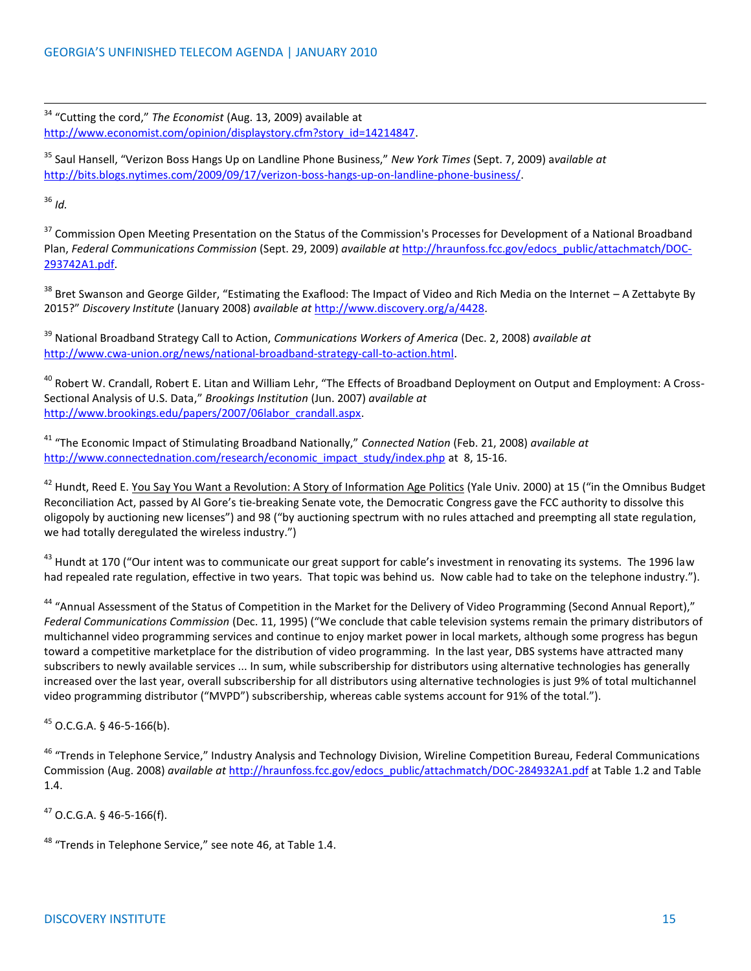<sup>34</sup> "Cutting the cord," *The Economist* (Aug. 13, 2009) available at [http://www.economist.com/opinion/displaystory.cfm?story\\_id=14214847.](http://www.economist.com/opinion/displaystory.cfm?story_id=14214847)

<sup>35</sup> Saul Hansell, "Verizon Boss Hangs Up on Landline Phone Business," *New York Times* (Sept. 7, 2009) a*vailable at* [http://bits.blogs.nytimes.com/2009/09/17/verizon-boss-hangs-up-on-landline-phone-business/.](http://bits.blogs.nytimes.com/2009/09/17/verizon-boss-hangs-up-on-landline-phone-business/)

<sup>36</sup> *Id.*

l

<sup>37</sup> Commission Open Meeting Presentation on the Status of the Commission's Processes for Development of a National Broadband Plan, *Federal Communications Commission* (Sept. 29, 2009) *available at* [http://hraunfoss.fcc.gov/edocs\\_public/attachmatch/DOC-](http://hraunfoss.fcc.gov/edocs_public/attachmatch/DOC-293742A1.pdf)[293742A1.pdf.](http://hraunfoss.fcc.gov/edocs_public/attachmatch/DOC-293742A1.pdf) 

<sup>38</sup> Bret Swanson and George Gilder, "Estimating the Exaflood: The Impact of Video and Rich Media on the Internet – A Zettabyte By 2015?" *Discovery Institute* (January 2008) *available at* http://www.discovery.org/a/4428.

<sup>39</sup> National Broadband Strategy Call to Action, *Communications Workers of America* (Dec. 2, 2008) *available at*  http://www.cwa‐union.org/news/national‐broadband‐strategy‐call‐to‐action.html.

<sup>40</sup> Robert W. Crandall, Robert E. Litan and William Lehr, "The Effects of Broadband Deployment on Output and Employment: A Cross-Sectional Analysis of U.S. Data," *Brookings Institution* (Jun. 2007) *available at*  [http://www.brookings.edu/papers/2007/06labor\\_crandall.aspx.](http://www.brookings.edu/papers/2007/06labor_crandall.aspx)

<sup>41</sup> "The Economic Impact of Stimulating Broadband Nationally," *Connected Nation* (Feb. 21, 2008) *available at*  [http://www.connectednation.com/research/economic\\_impact\\_study/index.php](http://www.connectednation.com/research/economic_impact_study/index.php) at 8, 15-16.

<sup>42</sup> Hundt, Reed E. You Say You Want a Revolution: A Story of Information Age Politics (Yale Univ. 2000) at 15 ("in the Omnibus Budget Reconciliation Act, passed by Al Gore's tie-breaking Senate vote, the Democratic Congress gave the FCC authority to dissolve this oligopoly by auctioning new licenses") and 98 ("by auctioning spectrum with no rules attached and preempting all state regulation, we had totally deregulated the wireless industry.")

<sup>43</sup> Hundt at 170 ("Our intent was to communicate our great support for cable's investment in renovating its systems. The 1996 law had repealed rate regulation, effective in two years. That topic was behind us. Now cable had to take on the telephone industry.").

<sup>44</sup> "Annual Assessment of the Status of Competition in the Market for the Delivery of Video Programming (Second Annual Report)," *Federal Communications Commission* (Dec. 11, 1995) ("We conclude that cable television systems remain the primary distributors of multichannel video programming services and continue to enjoy market power in local markets, although some progress has begun toward a competitive marketplace for the distribution of video programming. In the last year, DBS systems have attracted many subscribers to newly available services ... In sum, while subscribership for distributors using alternative technologies has generally increased over the last year, overall subscribership for all distributors using alternative technologies is just 9% of total multichannel video programming distributor ("MVPD") subscribership, whereas cable systems account for 91% of the total.").

<sup>45</sup> O.C.G.A. § 46-5-166(b).

<sup>46</sup> "Trends in Telephone Service," Industry Analysis and Technology Division, Wireline Competition Bureau, Federal Communications Commission (Aug. 2008) *available at* [http://hraunfoss.fcc.gov/edocs\\_public/attachmatch/DOC-284932A1.pdf](http://hraunfoss.fcc.gov/edocs_public/attachmatch/DOC-284932A1.pdf) at Table 1.2 and Table 1.4.

<sup>47</sup> O.C.G.A. § 46-5-166(f).

<sup>48</sup> "Trends in Telephone Service," see note 46, at Table 1.4.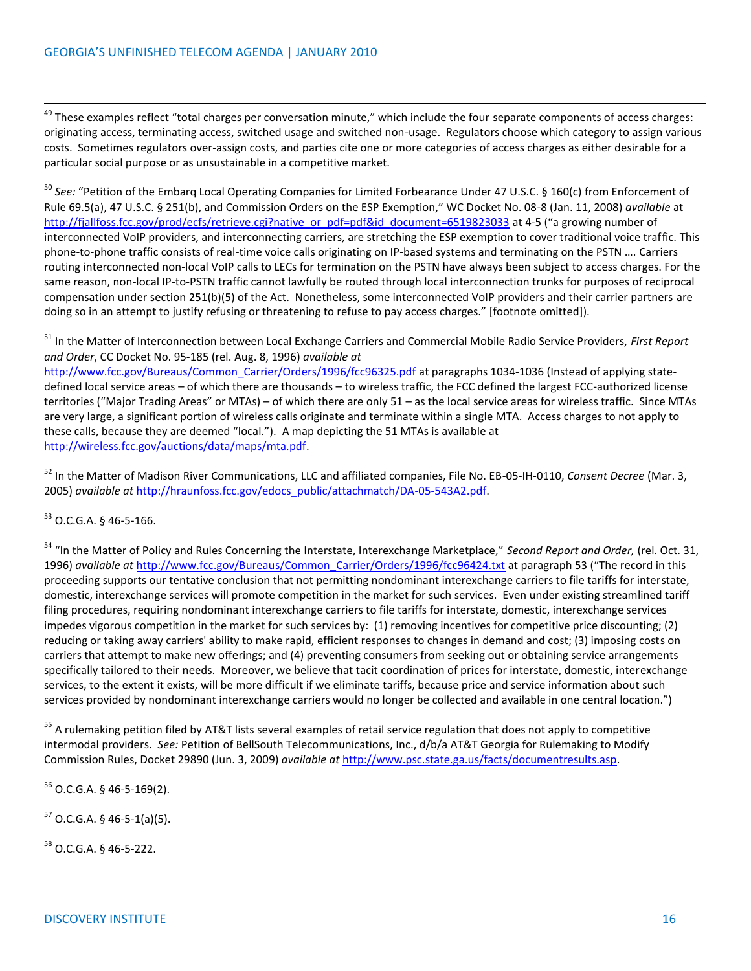<sup>49</sup> These examples reflect "total charges per conversation minute," which include the four separate components of access charges: originating access, terminating access, switched usage and switched non-usage. Regulators choose which category to assign various costs. Sometimes regulators over-assign costs, and parties cite one or more categories of access charges as either desirable for a particular social purpose or as unsustainable in a competitive market.

<sup>50</sup> *See:* "Petition of the Embarq Local Operating Companies for Limited Forbearance Under 47 U.S.C. § 160(c) from Enforcement of Rule 69.5(a), 47 U.S.C. § 251(b), and Commission Orders on the ESP Exemption," WC Docket No. 08-8 (Jan. 11, 2008) *available* at [http://fjallfoss.fcc.gov/prod/ecfs/retrieve.cgi?native\\_or\\_pdf=pdf&id\\_document=6519823033](http://fjallfoss.fcc.gov/prod/ecfs/retrieve.cgi?native_or_pdf=pdf&id_document=6519823033) at 4-5 ("a growing number of interconnected VoIP providers, and interconnecting carriers, are stretching the ESP exemption to cover traditional voice traffic. This phone-to-phone traffic consists of real-time voice calls originating on IP-based systems and terminating on the PSTN …. Carriers routing interconnected non-local VoIP calls to LECs for termination on the PSTN have always been subject to access charges. For the same reason, non-local IP-to-PSTN traffic cannot lawfully be routed through local interconnection trunks for purposes of reciprocal compensation under section 251(b)(5) of the Act. Nonetheless, some interconnected VoIP providers and their carrier partners are doing so in an attempt to justify refusing or threatening to refuse to pay access charges." [footnote omitted]).

<sup>51</sup> In the Matter of Interconnection between Local Exchange Carriers and Commercial Mobile Radio Service Providers, *First Report and Order*, CC Docket No. 95-185 (rel. Aug. 8, 1996) *available at*

[http://www.fcc.gov/Bureaus/Common\\_Carrier/Orders/1996/fcc96325.pdf](http://www.fcc.gov/Bureaus/Common_Carrier/Orders/1996/fcc96325.pdf) at paragraphs 1034-1036 (Instead of applying statedefined local service areas – of which there are thousands – to wireless traffic, the FCC defined the largest FCC-authorized license territories ("Major Trading Areas" or MTAs) – of which there are only 51 – as the local service areas for wireless traffic. Since MTAs are very large, a significant portion of wireless calls originate and terminate within a single MTA. Access charges to not apply to these calls, because they are deemed "local."). A map depicting the 51 MTAs is available at [http://wireless.fcc.gov/auctions/data/maps/mta.pdf.](http://wireless.fcc.gov/auctions/data/maps/mta.pdf)

<sup>52</sup> In the Matter of Madison River Communications, LLC and affiliated companies, File No. EB-05-IH-0110, *Consent Decree* (Mar. 3, 2005) *available at* [http://hraunfoss.fcc.gov/edocs\\_public/attachmatch/DA-05-543A2.pdf.](http://hraunfoss.fcc.gov/edocs_public/attachmatch/DA-05-543A2.pdf)

<sup>53</sup> O.C.G.A. § 46-5-166.

l

<sup>54</sup> "In the Matter of Policy and Rules Concerning the Interstate, Interexchange Marketplace," *Second Report and Order,* (rel. Oct. 31, 1996) *available at* [http://www.fcc.gov/Bureaus/Common\\_Carrier/Orders/1996/fcc96424.txt](http://www.fcc.gov/Bureaus/Common_Carrier/Orders/1996/fcc96424.txt) at paragraph 53 ("The record in this proceeding supports our tentative conclusion that not permitting nondominant interexchange carriers to file tariffs for interstate, domestic, interexchange services will promote competition in the market for such services. Even under existing streamlined tariff filing procedures, requiring nondominant interexchange carriers to file tariffs for interstate, domestic, interexchange services impedes vigorous competition in the market for such services by: (1) removing incentives for competitive price discounting; (2) reducing or taking away carriers' ability to make rapid, efficient responses to changes in demand and cost; (3) imposing costs on carriers that attempt to make new offerings; and (4) preventing consumers from seeking out or obtaining service arrangements specifically tailored to their needs. Moreover, we believe that tacit coordination of prices for interstate, domestic, interexchange services, to the extent it exists, will be more difficult if we eliminate tariffs, because price and service information about such services provided by nondominant interexchange carriers would no longer be collected and available in one central location.")

<sup>55</sup> A rulemaking petition filed by AT&T lists several examples of retail service regulation that does not apply to competitive intermodal providers. *See:* Petition of BellSouth Telecommunications, Inc., d/b/a AT&T Georgia for Rulemaking to Modify Commission Rules, Docket 29890 (Jun. 3, 2009) *available at* [http://www.psc.state.ga.us/facts/documentresults.asp.](http://www.psc.state.ga.us/facts/documentresults.asp) 

 $56$  O.C.G.A. § 46-5-169(2).

 $57$  O.C.G.A. § 46-5-1(a)(5).

<sup>58</sup> O.C.G.A. § 46-5-222.